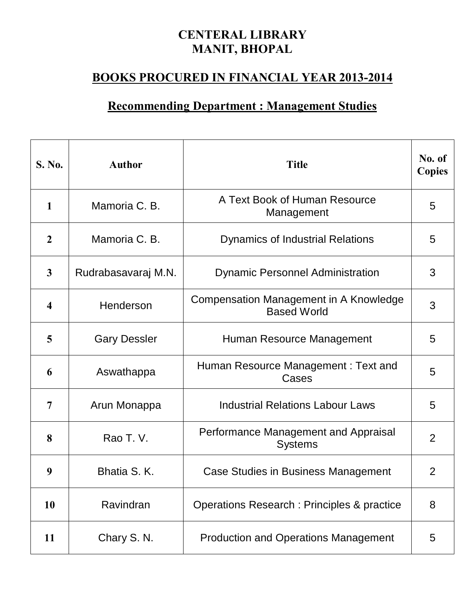## **CENTERAL LIBRARY MANIT, BHOPAL**

## **BOOKS PROCURED IN FINANCIAL YEAR 2013-2014**

## **Recommending Department : Management Studies**

| <b>S. No.</b>           | <b>Author</b>       | <b>Title</b>                                                 | No. of<br><b>Copies</b> |
|-------------------------|---------------------|--------------------------------------------------------------|-------------------------|
| $\mathbf{1}$            | Mamoria C. B.       | A Text Book of Human Resource<br>Management                  | 5                       |
| $\overline{2}$          | Mamoria C. B.       | <b>Dynamics of Industrial Relations</b>                      | 5                       |
| $\overline{\mathbf{3}}$ | Rudrabasavaraj M.N. | <b>Dynamic Personnel Administration</b>                      | 3                       |
| $\overline{\mathbf{4}}$ | Henderson           | Compensation Management in A Knowledge<br><b>Based World</b> | 3                       |
| 5                       | <b>Gary Dessler</b> | Human Resource Management                                    | 5                       |
| 6                       | Aswathappa          | Human Resource Management: Text and<br>Cases                 | 5                       |
| 7                       | Arun Monappa        | <b>Industrial Relations Labour Laws</b>                      | 5                       |
| 8                       | Rao T. V.           | Performance Management and Appraisal<br><b>Systems</b>       | 2                       |
| 9                       | Bhatia S.K.         | Case Studies in Business Management                          | $\overline{2}$          |
| 10                      | Ravindran           | Operations Research: Principles & practice                   | 8                       |
| 11                      | Chary S. N.         | <b>Production and Operations Management</b>                  | 5                       |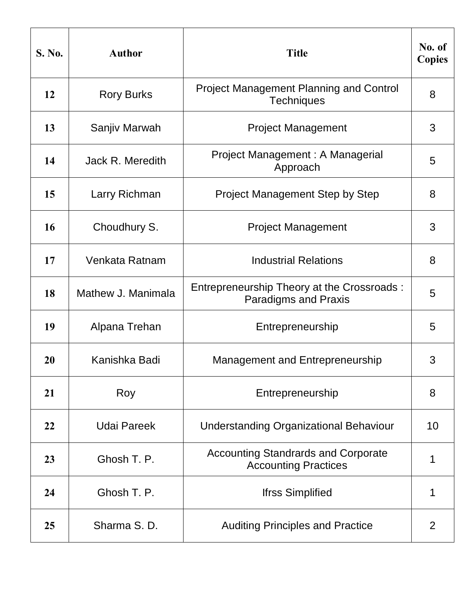| S. No. | <b>Author</b>      | <b>Title</b>                                                              | No. of<br><b>Copies</b> |
|--------|--------------------|---------------------------------------------------------------------------|-------------------------|
| 12     | <b>Rory Burks</b>  | <b>Project Management Planning and Control</b><br><b>Techniques</b>       | 8                       |
| 13     | Sanjiv Marwah      | <b>Project Management</b>                                                 | 3                       |
| 14     | Jack R. Meredith   | Project Management: A Managerial<br>Approach                              | 5                       |
| 15     | Larry Richman      | <b>Project Management Step by Step</b>                                    | 8                       |
| 16     | Choudhury S.       | <b>Project Management</b>                                                 | 3                       |
| 17     | Venkata Ratnam     | <b>Industrial Relations</b>                                               | 8                       |
| 18     | Mathew J. Manimala | Entrepreneurship Theory at the Crossroads:<br><b>Paradigms and Praxis</b> | 5                       |
| 19     | Alpana Trehan      | Entrepreneurship                                                          | 5                       |
| 20     | Kanishka Badi      | Management and Entrepreneurship                                           | 3                       |
| 21     | Roy                | Entrepreneurship                                                          | 8                       |
| 22     | <b>Udai Pareek</b> | <b>Understanding Organizational Behaviour</b>                             | 10                      |
| 23     | Ghosh T. P.        | <b>Accounting Standrards and Corporate</b><br><b>Accounting Practices</b> | 1                       |
| 24     | Ghosh T. P.        | <b>Ifrss Simplified</b>                                                   | 1                       |
| 25     | Sharma S.D.        | <b>Auditing Principles and Practice</b>                                   | $\overline{2}$          |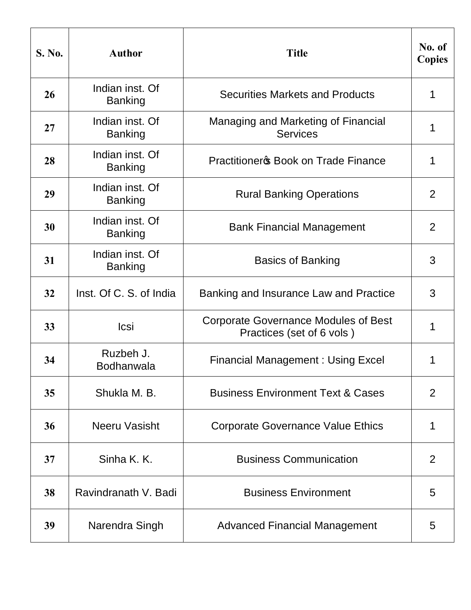| S. No. | <b>Author</b>                     | <b>Title</b>                                                      | No. of<br><b>Copies</b> |
|--------|-----------------------------------|-------------------------------------------------------------------|-------------------------|
| 26     | Indian inst. Of<br><b>Banking</b> | <b>Securities Markets and Products</b>                            | 1                       |
| 27     | Indian inst. Of<br><b>Banking</b> | Managing and Marketing of Financial<br><b>Services</b>            | 1                       |
| 28     | Indian inst. Of<br><b>Banking</b> | <b>Practitioners Book on Trade Finance</b>                        | 1                       |
| 29     | Indian inst. Of<br><b>Banking</b> | <b>Rural Banking Operations</b>                                   | 2                       |
| 30     | Indian inst. Of<br><b>Banking</b> | <b>Bank Financial Management</b>                                  | $\overline{2}$          |
| 31     | Indian inst. Of<br><b>Banking</b> | <b>Basics of Banking</b>                                          | 3                       |
| 32     | Inst. Of C. S. of India           | Banking and Insurance Law and Practice                            | 3                       |
| 33     | Icsi                              | Corporate Governance Modules of Best<br>Practices (set of 6 vols) | 1                       |
| 34     | Ruzbeh J.<br><b>Bodhanwala</b>    | Financial Management: Using Excel                                 | 1                       |
| 35     | Shukla M. B.                      | <b>Business Environment Text &amp; Cases</b>                      | 2                       |
| 36     | Neeru Vasisht                     | <b>Corporate Governance Value Ethics</b>                          | 1                       |
| 37     | Sinha K. K.                       | <b>Business Communication</b>                                     | 2                       |
| 38     | Ravindranath V. Badi              | <b>Business Environment</b>                                       | 5                       |
| 39     | Narendra Singh                    | <b>Advanced Financial Management</b>                              | 5                       |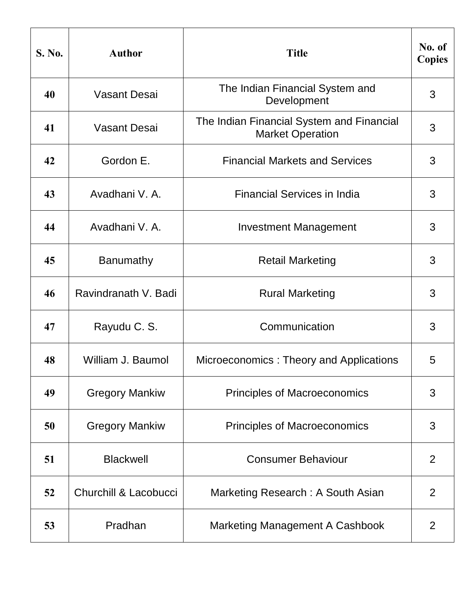| S. No. | <b>Author</b>         | <b>Title</b>                                                         | No. of<br><b>Copies</b> |
|--------|-----------------------|----------------------------------------------------------------------|-------------------------|
| 40     | <b>Vasant Desai</b>   | The Indian Financial System and<br>Development                       | 3                       |
| 41     | Vasant Desai          | The Indian Financial System and Financial<br><b>Market Operation</b> | 3                       |
| 42     | Gordon E.             | <b>Financial Markets and Services</b>                                | 3                       |
| 43     | Avadhani V. A.        | <b>Financial Services in India</b>                                   | 3                       |
| 44     | Avadhani V. A.        | <b>Investment Management</b>                                         | 3                       |
| 45     | Banumathy             | <b>Retail Marketing</b>                                              | 3                       |
| 46     | Ravindranath V. Badi  | <b>Rural Marketing</b>                                               | 3                       |
| 47     | Rayudu C. S.          | Communication                                                        | 3                       |
| 48     | William J. Baumol     | Microeconomics: Theory and Applications                              | 5                       |
| 49     | <b>Gregory Mankiw</b> | <b>Principles of Macroeconomics</b>                                  | 3                       |
| 50     | <b>Gregory Mankiw</b> | <b>Principles of Macroeconomics</b>                                  | 3                       |
| 51     | <b>Blackwell</b>      | <b>Consumer Behaviour</b>                                            | 2                       |
| 52     | Churchill & Lacobucci | Marketing Research: A South Asian                                    | 2                       |
| 53     | Pradhan               | Marketing Management A Cashbook                                      | $\overline{2}$          |